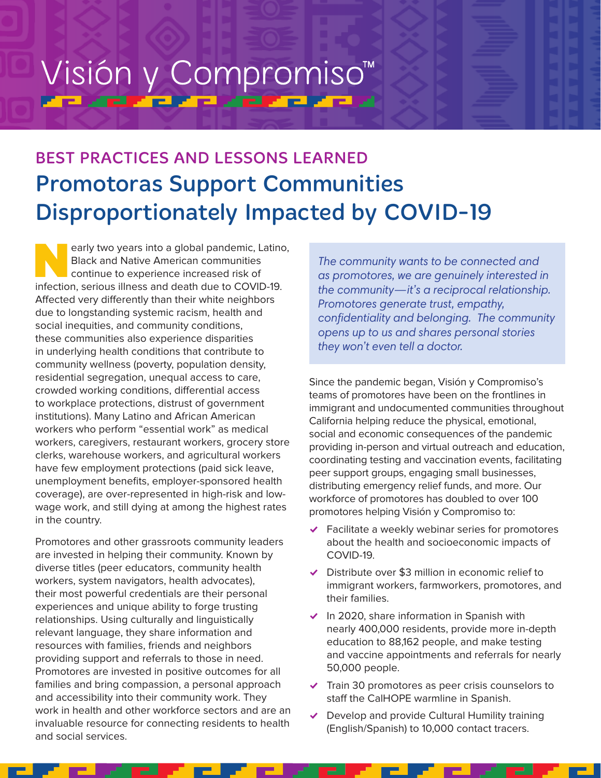# Visión y Compromiso<sup>™</sup> <u>ta antziaren artearen a</u>

# BEST PRACTICES AND LESSONS LEARNED Promotoras Support Communities Disproportionately Impacted by COVID-19

early two years into a global pandemic, Latino, Black and Native American communities continue to experience increased risk of infection, serious illness and death due to COVID-19. Affected very differently than their white neighbors due to longstanding systemic racism, health and social inequities, and community conditions, these communities also experience disparities in underlying health conditions that contribute to community wellness (poverty, population density, residential segregation, unequal access to care, crowded working conditions, differential access to workplace protections, distrust of government institutions). Many Latino and African American workers who perform "essential work" as medical workers, caregivers, restaurant workers, grocery store clerks, warehouse workers, and agricultural workers have few employment protections (paid sick leave, unemployment benefits, employer-sponsored health coverage), are over-represented in high-risk and lowwage work, and still dying at among the highest rates in the country.

Promotores and other grassroots community leaders are invested in helping their community. Known by diverse titles (peer educators, community health workers, system navigators, health advocates), their most powerful credentials are their personal experiences and unique ability to forge trusting relationships. Using culturally and linguistically relevant language, they share information and resources with families, friends and neighbors providing support and referrals to those in need. Promotores are invested in positive outcomes for all families and bring compassion, a personal approach and accessibility into their community work. They work in health and other workforce sectors and are an invaluable resource for connecting residents to health and social services.

*The community wants to be connected and as promotores, we are genuinely interested in the community—it's a reciprocal relationship. Promotores generate trust, empathy, confidentiality and belonging. The community opens up to us and shares personal stories they won't even tell a doctor.*

Since the pandemic began, Visión y Compromiso's teams of promotores have been on the frontlines in immigrant and undocumented communities throughout California helping reduce the physical, emotional, social and economic consequences of the pandemic providing in-person and virtual outreach and education, coordinating testing and vaccination events, facilitating peer support groups, engaging small businesses, distributing emergency relief funds, and more. Our workforce of promotores has doubled to over 100 promotores helping Visión y Compromiso to:

- $\blacktriangleright$  Facilitate a weekly webinar series for promotores about the health and socioeconomic impacts of COVID-19.
- $\triangleright$  Distribute over \$3 million in economic relief to immigrant workers, farmworkers, promotores, and their families.
- $\triangleright$  In 2020, share information in Spanish with nearly 400,000 residents, provide more in-depth education to 88,162 people, and make testing and vaccine appointments and referrals for nearly 50,000 people.
- $\blacktriangleright$  Train 30 promotores as peer crisis counselors to staff the CalHOPE warmline in Spanish.
- $\vee$  Develop and provide Cultural Humility training (English/Spanish) to 10,000 contact tracers.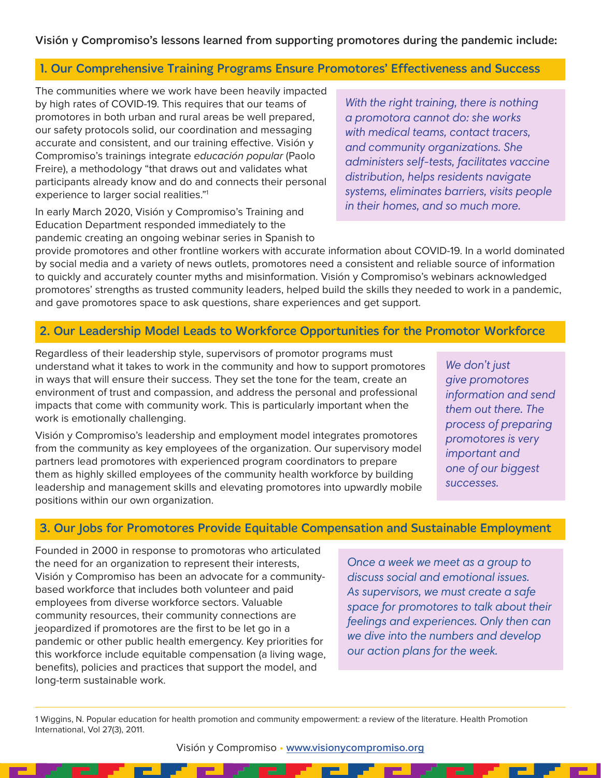Visión y Compromiso's lessons learned from supporting promotores during the pandemic include:

#### 1. Our Comprehensive Training Programs Ensure Promotores' Effectiveness and Success

The communities where we work have been heavily impacted by high rates of COVID-19. This requires that our teams of promotores in both urban and rural areas be well prepared, our safety protocols solid, our coordination and messaging accurate and consistent, and our training effective. Visión y Compromiso's trainings integrate educación popular (Paolo Freire), a methodology "that draws out and validates what participants already know and do and connects their personal experience to larger social realities."1

In early March 2020, Visión y Compromiso's Training and Education Department responded immediately to the pandemic creating an ongoing webinar series in Spanish to

provide promotores and other frontline workers with accurate information about COVID-19. In a world dominated by social media and a variety of news outlets, promotores need a consistent and reliable source of information to quickly and accurately counter myths and misinformation. Visión y Compromiso's webinars acknowledged promotores' strengths as trusted community leaders, helped build the skills they needed to work in a pandemic, and gave promotores space to ask questions, share experiences and get support.

### 2. Our Leadership Model Leads to Workforce Opportunities for the Promotor Workforce

Regardless of their leadership style, supervisors of promotor programs must understand what it takes to work in the community and how to support promotores in ways that will ensure their success. They set the tone for the team, create an environment of trust and compassion, and address the personal and professional impacts that come with community work. This is particularly important when the work is emotionally challenging.

Visión y Compromiso's leadership and employment model integrates promotores from the community as key employees of the organization. Our supervisory model partners lead promotores with experienced program coordinators to prepare them as highly skilled employees of the community health workforce by building leadership and management skills and elevating promotores into upwardly mobile positions within our own organization.

*We don't just give promotores information and send them out there. The process of preparing promotores is very important and one of our biggest successes.*

## 3. Our Jobs for Promotores Provide Equitable Compensation and Sustainable Employment

Founded in 2000 in response to promotoras who articulated the need for an organization to represent their interests, Visión y Compromiso has been an advocate for a communitybased workforce that includes both volunteer and paid employees from diverse workforce sectors. Valuable community resources, their community connections are jeopardized if promotores are the first to be let go in a pandemic or other public health emergency. Key priorities for this workforce include equitable compensation (a living wage, benefits), policies and practices that support the model, and long-term sustainable work.

*Once a week we meet as a group to discuss social and emotional issues. As supervisors, we must create a safe space for promotores to talk about their feelings and experiences. Only then can we dive into the numbers and develop our action plans for the week.*

1 Wiggins, N. Popular education for health promotion and community empowerment: a review of the literature. Health Promotion International, Vol 27(3), 2011.

Visión y Compromiso • **[www.visionycompromiso.org](http://www.visionycompromiso.org)**

*With the right training, there is nothing a promotora cannot do: she works with medical teams, contact tracers, and community organizations. She administers self-tests, facilitates vaccine distribution, helps residents navigate systems, eliminates barriers, visits people in their homes, and so much more.*